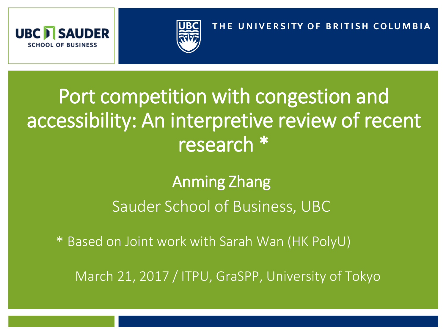



#### THE UNIVERSITY OF BRITISH COLUMBIA

# Port competition with congestion and accessibility: An interpretive review of recent research \*

#### Anming Zhang Sauder School of Business, UBC

\* Based on Joint work with Sarah Wan (HK PolyU)

March 21, 2017 / ITPU, GraSPP, University of Tokyo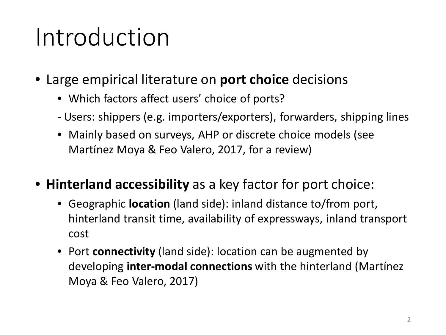# Introduction

- Large empirical literature on **port choice** decisions
	- Which factors affect users' choice of ports?
	- Users: shippers (e.g. importers/exporters), forwarders, shipping lines
	- Mainly based on surveys, AHP or discrete choice models (see Martínez Moya & Feo Valero, 2017, for a review)
- **Hinterland accessibility** as a key factor for port choice:
	- Geographic **location** (land side): inland distance to/from port, hinterland transit time, availability of expressways, inland transport cost
	- Port **connectivity** (land side): location can be augmented by developing **inter-modal connections** with the hinterland (Martínez Moya & Feo Valero, 2017)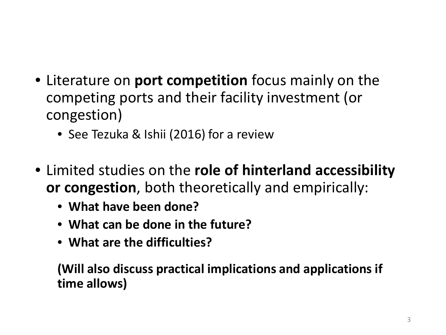- Literature on **port competition** focus mainly on the competing ports and their facility investment (or congestion)
	- See Tezuka & Ishii (2016) for a review
- Limited studies on the **role of hinterland accessibility or congestion**, both theoretically and empirically:
	- **What have been done?**
	- **What can be done in the future?**
	- **What are the difficulties?**

**(Will also discuss practical implications and applications if time allows)**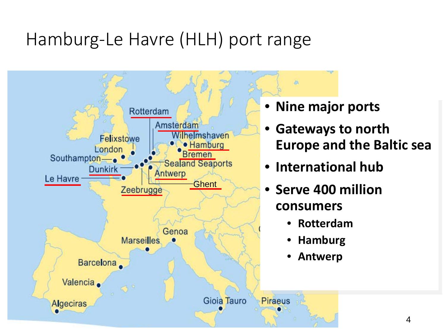#### Hamburg-Le Havre (HLH) port range

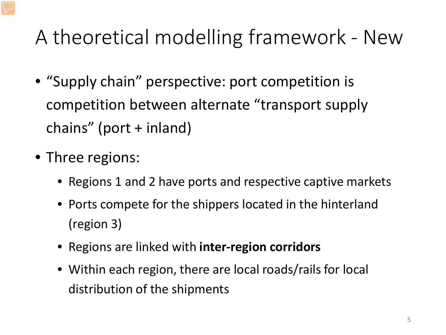# A theoretical modelling framework - New

- "Supply chain" perspective: port competition is competition between alternate "transport supply chains" (port + inland)
- Three regions:
	- Regions 1 and 2 have ports and respective captive markets
	- Ports compete for the shippers located in the hinterland (region 3)
	- Regions are linked with **inter-region corridors**
	- Within each region, there are local roads/rails for local distribution of the shipments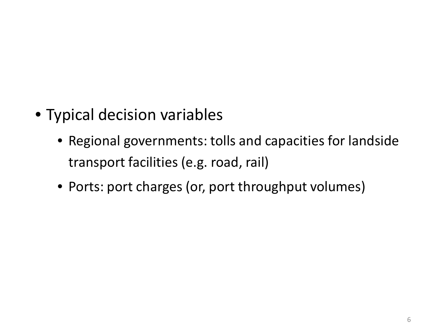- Typical decision variables
	- Regional governments: tolls and capacities for landside transport facilities (e.g. road, rail)
	- Ports: port charges (or, port throughput volumes)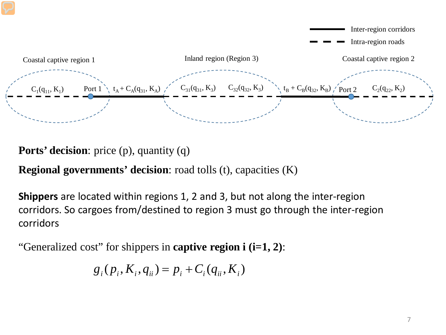

**Ports' decision**: price (p), quantity (q)

**Regional governments' decision**: road tolls (t), capacities (K)

**Shippers** are located within regions 1, 2 and 3, but not along the inter-region corridors. So cargoes from/destined to region 3 must go through the inter-region corridors

"Generalized cost" for shippers in **captive region i (i=1, 2)**:

$$
g_i(p_i, K_i, q_{ii}) = p_i + C_i(q_{ii}, K_i)
$$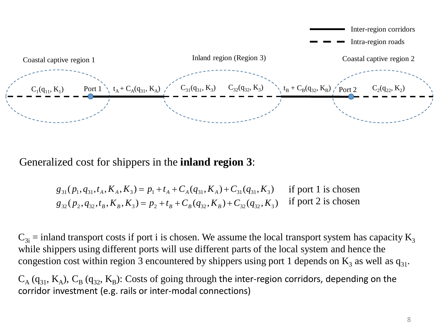

Generalized cost for shippers in the **inland region 3**:

$$
g_{31}(p_1, q_{31}, t_A, K_A, K_3) = p_1 + t_A + C_A(q_{31}, K_A) + C_{31}(q_{31}, K_3)
$$
 if port 1 is chosen  

$$
g_{32}(p_2, q_{32}, t_B, K_B, K_3) = p_2 + t_B + C_B(q_{32}, K_B) + C_{32}(q_{32}, K_3)
$$
 if port 2 is chosen

 $C_{3i}$  = inland transport costs if port i is chosen. We assume the local transport system has capacity  $K_3$ while shippers using different ports will use different parts of the local system and hence the congestion cost within region 3 encountered by shippers using port 1 depends on  $K_3$  as well as  $q_{31}$ .

 $C_A$  (q<sub>31</sub>, K<sub>A</sub>),  $C_B$  (q<sub>32</sub>, K<sub>B</sub>): Costs of going through the inter-region corridors, depending on the corridor investment (e.g. rails or inter-modal connections)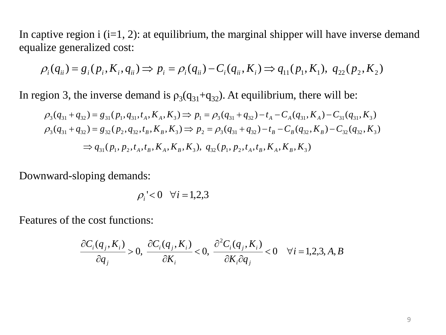In captive region  $i$  (i=1, 2): at equilibrium, the marginal shipper will have inverse demand equalize generalized cost:

$$
\rho_i(q_{ii}) = g_i(p_i, K_i, q_{ii}) \Rightarrow p_i = \rho_i(q_{ii}) - C_i(q_{ii}, K_i) \Rightarrow q_{11}(p_1, K_1), q_{22}(p_2, K_2)
$$

In region 3, the inverse demand is  $\rho_3(q_{31}+q_{32})$ . At equilibrium, there will be:

$$
\rho_3(q_{31} + q_{32}) = g_{31}(p_1, q_{31}, t_A, K_A, K_3) \Rightarrow p_1 = \rho_3(q_{31} + q_{32}) - t_A - C_A(q_{31}, K_A) - C_{31}(q_{31}, K_3)
$$
  
\n
$$
\rho_3(q_{31} + q_{32}) = g_{32}(p_2, q_{32}, t_B, K_B, K_3) \Rightarrow p_2 = \rho_3(q_{31} + q_{32}) - t_B - C_B(q_{32}, K_B) - C_{32}(q_{32}, K_3)
$$
  
\n
$$
\Rightarrow q_{31}(p_1, p_2, t_A, t_B, K_A, K_B, K_3), q_{32}(p_1, p_2, t_A, t_B, K_A, K_B, K_3)
$$

Downward-sloping demands:

$$
\rho_i \leq 0 \quad \forall i = 1, 2, 3
$$

Features of the cost functions:

$$
\frac{\partial C_i(q_j, K_i)}{\partial q_j} > 0, \quad \frac{\partial C_i(q_j, K_i)}{\partial K_i} < 0, \quad \frac{\partial^2 C_i(q_j, K_i)}{\partial K_i \partial q_j} < 0 \quad \forall i = 1, 2, 3, A, B
$$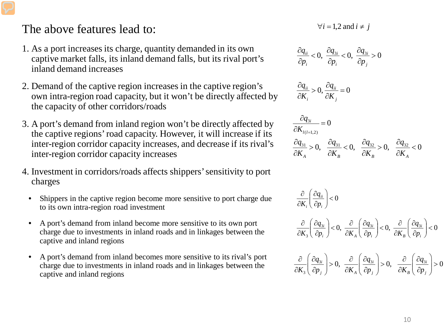#### The above features lead to:

- 1. As a port increases its charge, quantity demanded in its own captive market falls, its inland demand falls, but its rival port's inland demand increases
- 2. Demand of the captive region increases in the captive region's own intra-region road capacity, but it won't be directly affected by the capacity of other corridors/roads
- 3. A port's demand from inland region won't be directly affected by the captive regions' road capacity. However, it will increase if its inter-region corridor capacity increases, and decrease if its rival's inter-region corridor capacity increases
- 4. Investment in corridors/roads affects shippers' sensitivity to port charges
	- Shippers in the captive region become more sensitive to port charge due to its own intra-region road investment
	- A port's demand from inland become more sensitive to its own port charge due to investments in inland roads and in linkages between the captive and inland regions
	- A port's demand from inland becomes more sensitive to its rival's port charge due to investments in inland roads and in linkages between the captive and inland regions

 $∀i = 1,2$  and  $i ≠ i$ 

$$
\frac{\partial q_{ii}}{\partial p_i} < 0, \ \frac{\partial q_{3i}}{\partial p_i} < 0, \ \frac{\partial q_{3i}}{\partial p_j} > 0
$$

$$
\frac{\partial q_{ii}}{\partial K_i} > 0, \frac{\partial q_{ii}}{\partial K_j} = 0
$$

$$
\frac{\partial q_{3i}}{\partial K_{l(l=1,2)}} = 0
$$
  

$$
\frac{\partial q_{31}}{\partial K_A} > 0, \quad \frac{\partial q_{31}}{\partial K_B} < 0, \quad \frac{\partial q_{32}}{\partial K_B} > 0, \quad \frac{\partial q_{32}}{\partial K_A} < 0
$$

$$
\frac{\partial}{\partial K_i} \left( \frac{\partial q_{ii}}{\partial p_i} \right) < 0
$$
\n
$$
\frac{\partial}{\partial K_3} \left( \frac{\partial q_{3i}}{\partial p_i} \right) < 0, \frac{\partial}{\partial K_A} \left( \frac{\partial q_{3i}}{\partial p_i} \right) < 0, \frac{\partial}{\partial K_B} \left( \frac{\partial q_{3i}}{\partial p_i} \right) < 0
$$
\n
$$
\frac{\partial}{\partial K_3} \left( \frac{\partial q_{3i}}{\partial p_j} \right) > 0, \frac{\partial}{\partial K_A} \left( \frac{\partial q_{3i}}{\partial p_j} \right) > 0, \frac{\partial}{\partial K_B} \left( \frac{\partial q_{3i}}{\partial p_j} \right) > 0
$$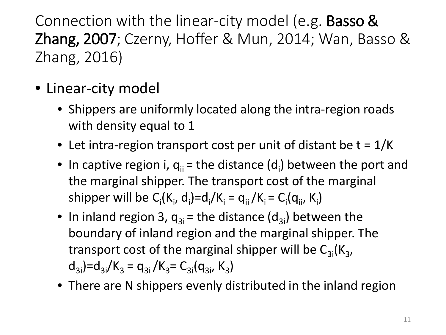Connection with the linear-city model (e.g. Basso & Zhang, 2007; Czerny, Hoffer & Mun, 2014; Wan, Basso & Zhang, 2016)

- Linear-city model
	- Shippers are uniformly located along the intra-region roads with density equal to 1
	- Let intra-region transport cost per unit of distant be  $t = 1/K$
	- In captive region i,  $q_{ii}$  = the distance (d<sub>i</sub>) between the port and the marginal shipper. The transport cost of the marginal shipper will be  $C_i(K_i, d_i)=d_i/K_i = q_{ii}/K_i = C_i(q_{ii}, K_i)$
	- In inland region 3,  $q_{3i}$  = the distance (d<sub>3i</sub>) between the boundary of inland region and the marginal shipper. The transport cost of the marginal shipper will be  $C_{3i}(K_{3},$  $d_{3i}$ )= $d_{3i}/K_3$  =  $q_{3i}/K_3$  =  $C_{3i}(q_{3i}, K_3)$
	- There are N shippers evenly distributed in the inland region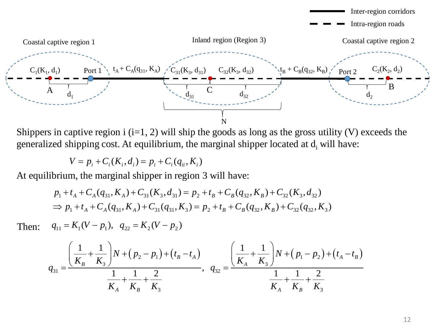

Shippers in captive region i  $(i=1, 2)$  will ship the goods as long as the gross utility (V) exceeds the generalized shipping cost. At equilibrium, the marginal shipper located at  $d_i$  will have:

$$
V = p_i + C_i(K_i, d_i) = p_i + C_i(q_{ii}, K_i)
$$

At equilibrium, the marginal shipper in region 3 will have:

$$
p_1 + t_A + C_A(q_{31}, K_A) + C_{31}(K_3, d_{31}) = p_2 + t_B + C_B(q_{32}, K_B) + C_{32}(K_3, d_{32})
$$
  
\n
$$
\Rightarrow p_1 + t_A + C_A(q_{31}, K_A) + C_{31}(q_{31}, K_3) = p_2 + t_B + C_B(q_{32}, K_B) + C_{32}(q_{32}, K_3)
$$

Then:  $q_{11} = K_1 (V - p_1), q_{22} = K_2 (V - p_2)$ 

$$
q_{31} = \frac{\left(\frac{1}{K_B} + \frac{1}{K_3}\right)N + \left(p_2 - p_1\right) + \left(t_B - t_A\right)}{\frac{1}{K_A} + \frac{1}{K_B} + \frac{2}{K_3}}, \quad q_{32} = \frac{\left(\frac{1}{K_A} + \frac{1}{K_3}\right)N + \left(p_1 - p_2\right) + \left(t_A - t_B\right)}{\frac{1}{K_A} + \frac{1}{K_B} + \frac{2}{K_3}}
$$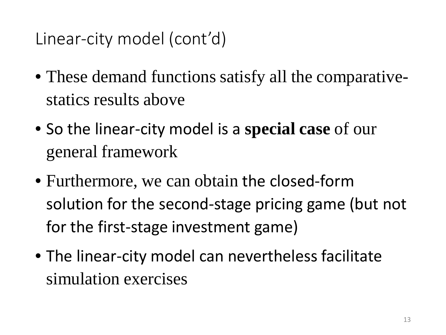Linear-city model (cont'd)

- These demand functions satisfy all the comparativestatics results above
- So the linear-city model is a **special case** of our general framework
- Furthermore, we can obtain the closed-form solution for the second-stage pricing game (but not for the first-stage investment game)
- The linear-city model can nevertheless facilitate simulation exercises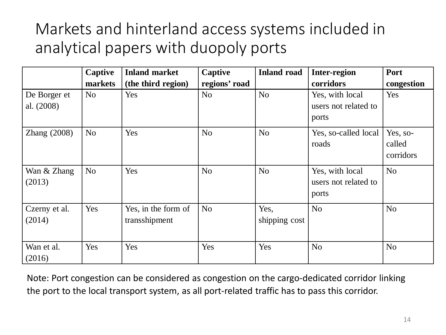#### Markets and hinterland access systems included in analytical papers with duopoly ports

|                            | <b>Captive</b> | <b>Inland market</b>                 | Captive        | <b>Inland road</b>    | <b>Inter-region</b>                              | <b>Port</b>                     |
|----------------------------|----------------|--------------------------------------|----------------|-----------------------|--------------------------------------------------|---------------------------------|
|                            | markets        | (the third region)                   | regions' road  |                       | corridors                                        | congestion                      |
| De Borger et<br>al. (2008) | N <sub>o</sub> | Yes                                  | N <sub>o</sub> | N <sub>o</sub>        | Yes, with local<br>users not related to<br>ports | Yes                             |
| Zhang $(2008)$             | N <sub>o</sub> | Yes                                  | N <sub>o</sub> | N <sub>o</sub>        | Yes, so-called local<br>roads                    | Yes, so-<br>called<br>corridors |
| Wan & Zhang<br>(2013)      | N <sub>o</sub> | Yes                                  | N <sub>o</sub> | N <sub>o</sub>        | Yes, with local<br>users not related to<br>ports | N <sub>o</sub>                  |
| Czerny et al.<br>(2014)    | Yes            | Yes, in the form of<br>transshipment | N <sub>o</sub> | Yes,<br>shipping cost | N <sub>o</sub>                                   | N <sub>o</sub>                  |
| Wan et al.<br>(2016)       | Yes            | Yes                                  | Yes            | Yes                   | N <sub>o</sub>                                   | N <sub>o</sub>                  |

Note: Port congestion can be considered as congestion on the cargo-dedicated corridor linking the port to the local transport system, as all port-related traffic has to pass this corridor.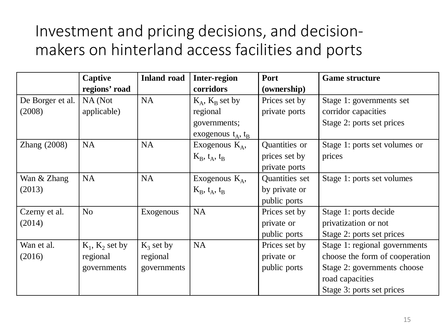#### Investment and pricing decisions, and decisionmakers on hinterland access facilities and ports

|                  | Captive           | <b>Inland road</b> | <b>Inter-region</b>         | Port           | <b>Game structure</b>          |
|------------------|-------------------|--------------------|-----------------------------|----------------|--------------------------------|
|                  | regions' road     |                    | corridors                   | (ownership)    |                                |
| De Borger et al. | NA (Not           | <b>NA</b>          | $K_A$ , $K_B$ set by        | Prices set by  | Stage 1: governments set       |
| (2008)           | applicable)       |                    | regional                    | private ports  | corridor capacities            |
|                  |                   |                    | governments;                |                | Stage 2: ports set prices      |
|                  |                   |                    | exogenous $t_A$ , $t_B$     |                |                                |
| Zhang $(2008)$   | <b>NA</b>         | <b>NA</b>          | Exogenous $K_A$ ,           | Quantities or  | Stage 1: ports set volumes or  |
|                  |                   |                    | $K_B$ , $t_A$ , $t_B$       | prices set by  | prices                         |
|                  |                   |                    |                             | private ports  |                                |
| Wan & Zhang      | <b>NA</b>         | <b>NA</b>          | Exogenous $K_A$ ,           | Quantities set | Stage 1: ports set volumes     |
| (2013)           |                   |                    | $K_{B}$ , $t_{A}$ , $t_{B}$ | by private or  |                                |
|                  |                   |                    |                             | public ports   |                                |
| Czerny et al.    | N <sub>o</sub>    | Exogenous          | <b>NA</b>                   | Prices set by  | Stage 1: ports decide          |
| (2014)           |                   |                    |                             | private or     | privatization or not           |
|                  |                   |                    |                             | public ports   | Stage 2: ports set prices      |
| Wan et al.       | $K_1, K_2$ set by | $K_3$ set by       | <b>NA</b>                   | Prices set by  | Stage 1: regional governments  |
| (2016)           | regional          | regional           |                             | private or     | choose the form of cooperation |
|                  | governments       | governments        |                             | public ports   | Stage 2: governments choose    |
|                  |                   |                    |                             |                | road capacities                |
|                  |                   |                    |                             |                | Stage 3: ports set prices      |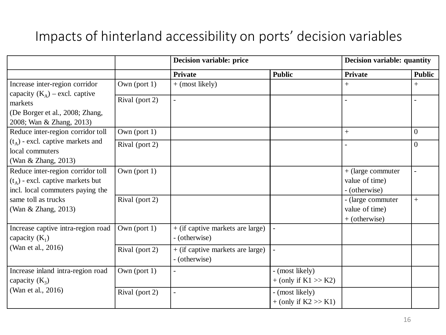#### Impacts of hinterland accessibility on ports' decision variables

|                                                                                                              |                 | <b>Decision variable: price</b>                     |                                           | Decision variable: quantity                            |                          |
|--------------------------------------------------------------------------------------------------------------|-----------------|-----------------------------------------------------|-------------------------------------------|--------------------------------------------------------|--------------------------|
|                                                                                                              |                 | <b>Private</b>                                      | <b>Public</b>                             | <b>Private</b>                                         | <b>Public</b>            |
| Increase inter-region corridor<br>capacity $(K_A)$ – excl. captive                                           | Own (port $1$ ) | $+$ (most likely)                                   |                                           | $+$                                                    | $+$                      |
| markets<br>(De Borger et al., 2008; Zhang,<br>2008; Wan & Zhang, 2013)                                       | Rival (port 2)  | $\overline{a}$                                      |                                           |                                                        |                          |
| Reduce inter-region corridor toll                                                                            | Own (port $1$ ) |                                                     |                                           | $+$                                                    | $\overline{0}$           |
| $(t_A)$ - excl. captive markets and<br>local commuters<br>(Wan & Zhang, 2013)                                | Rival (port 2)  |                                                     |                                           |                                                        | $\Omega$                 |
| Reduce inter-region corridor toll<br>$(t_A)$ - excl. captive markets but<br>incl. local commuters paying the | Own (port $1$ ) |                                                     |                                           | $+$ (large commuter<br>value of time)<br>- (otherwise) | $\overline{\phantom{a}}$ |
| same toll as trucks<br>(Wan & Zhang, 2013)                                                                   | Rival (port 2)  |                                                     |                                           | - (large commuter<br>value of time)<br>$+$ (otherwise) | $^{+}$                   |
| Increase captive intra-region road<br>capacity $(K_1)$                                                       | Own (port $1$ ) | $+$ (if captive markets are large)<br>- (otherwise) |                                           |                                                        |                          |
| (Wan et al., 2016)                                                                                           | Rival (port 2)  | $+$ (if captive markets are large)<br>- (otherwise) | $\overline{a}$                            |                                                        |                          |
| Increase inland intra-region road<br>capacity $(K_3)$                                                        | Own (port $1$ ) |                                                     | - (most likely)<br>$+$ (only if K1 >> K2) |                                                        |                          |
| (Wan et al., 2016)                                                                                           | Rival (port 2)  |                                                     | - (most likely)<br>$+$ (only if K2 >> K1) |                                                        |                          |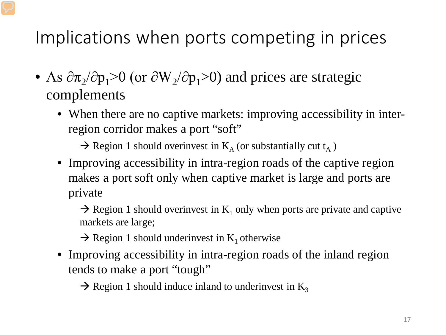Implications when ports competing in prices

- As  $\partial \pi_2/\partial p_1 > 0$  (or  $\partial W_2/\partial p_1 > 0$ ) and prices are strategic complements
	- When there are no captive markets: improving accessibility in interregion corridor makes a port "soft"

 $\rightarrow$  Region 1 should overinvest in K<sub>A</sub> (or substantially cut t<sub>A</sub>)

• Improving accessibility in intra-region roads of the captive region makes a port soft only when captive market is large and ports are private

 $\rightarrow$  Region 1 should overinvest in K<sub>1</sub> only when ports are private and captive markets are large;

 $\rightarrow$  Region 1 should underinvest in K<sub>1</sub> otherwise

• Improving accessibility in intra-region roads of the inland region tends to make a port "tough"

 $\rightarrow$  Region 1 should induce inland to underinvest in K<sub>3</sub>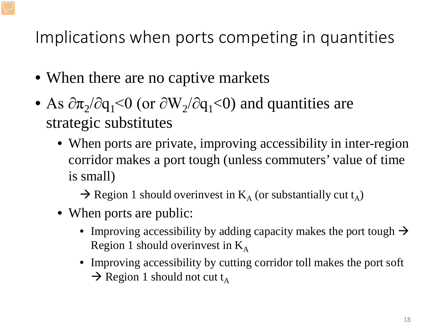Implications when ports competing in quantities

- When there are no captive markets
- As  $\partial \pi_2/\partial q_1$ <0 (or  $\partial W_2/\partial q_1$ <0) and quantities are strategic substitutes
	- When ports are private, improving accessibility in inter-region corridor makes a port tough (unless commuters' value of time is small)
		- $\rightarrow$  Region 1 should overinvest in K<sub>A</sub> (or substantially cut t<sub>A</sub>)
	- When ports are public:
		- Improving accessibility by adding capacity makes the port tough  $\rightarrow$ Region 1 should overwnvest in  $K_A$
		- Improving accessibility by cutting corridor toll makes the port soft  $\rightarrow$  Region 1 should not cut t<sub>A</sub>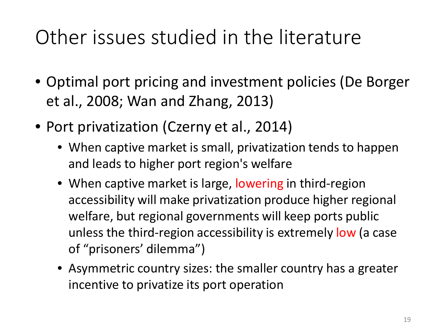# Other issues studied in the literature

- Optimal port pricing and investment policies (De Borger et al., 2008; Wan and Zhang, 2013)
- Port privatization (Czerny et al., 2014)
	- When captive market is small, privatization tends to happen and leads to higher port region's welfare
	- When captive market is large, lowering in third-region accessibility will make privatization produce higher regional welfare, but regional governments will keep ports public unless the third-region accessibility is extremely low (a case of "prisoners' dilemma")
	- Asymmetric country sizes: the smaller country has a greater incentive to privatize its port operation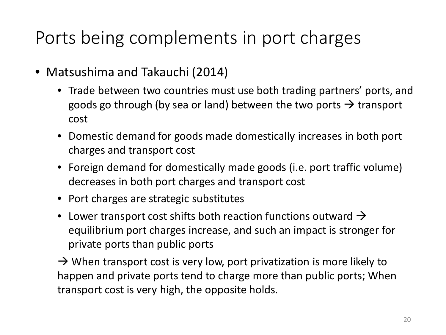#### Ports being complements in port charges

- Matsushima and Takauchi (2014)
	- Trade between two countries must use both trading partners' ports, and goods go through (by sea or land) between the two ports  $\rightarrow$  transport cost
	- Domestic demand for goods made domestically increases in both port charges and transport cost
	- Foreign demand for domestically made goods (i.e. port traffic volume) decreases in both port charges and transport cost
	- Port charges are strategic substitutes
	- Lower transport cost shifts both reaction functions outward  $\rightarrow$ equilibrium port charges increase, and such an impact is stronger for private ports than public ports

 $\rightarrow$  When transport cost is very low, port privatization is more likely to happen and private ports tend to charge more than public ports; When transport cost is very high, the opposite holds.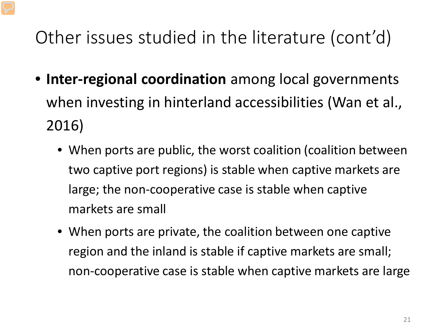## Other issues studied in the literature (cont'd)

- **Inter-regional coordination** among local governments when investing in hinterland accessibilities (Wan et al., 2016)
	- When ports are public, the worst coalition (coalition between two captive port regions) is stable when captive markets are large; the non-cooperative case is stable when captive markets are small
	- When ports are private, the coalition between one captive region and the inland is stable if captive markets are small; non-cooperative case is stable when captive markets are large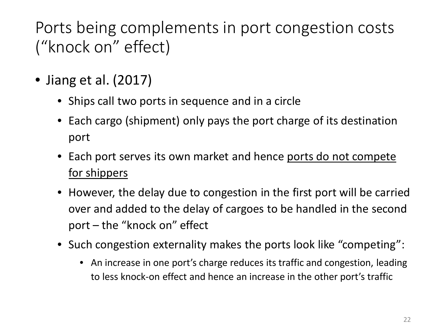#### Ports being complements in port congestion costs ("knock on" effect)

- Jiang et al. (2017)
	- Ships call two ports in sequence and in a circle
	- Each cargo (shipment) only pays the port charge of its destination port
	- Each port serves its own market and hence ports do not compete for shippers
	- However, the delay due to congestion in the first port will be carried over and added to the delay of cargoes to be handled in the second port – the "knock on" effect
	- Such congestion externality makes the ports look like "competing":
		- An increase in one port's charge reduces its traffic and congestion, leading to less knock-on effect and hence an increase in the other port's traffic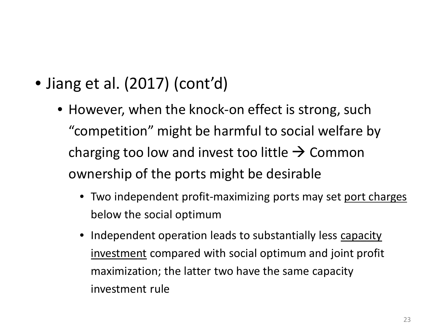- Jiang et al. (2017) (cont'd)
	- However, when the knock-on effect is strong, such "competition" might be harmful to social welfare by charging too low and invest too little  $\rightarrow$  Common ownership of the ports might be desirable
		- Two independent profit-maximizing ports may set port charges below the social optimum
		- Independent operation leads to substantially less capacity investment compared with social optimum and joint profit maximization; the latter two have the same capacity investment rule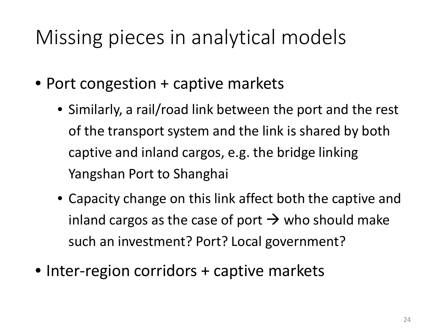# Missing pieces in analytical models

- Port congestion + captive markets
	- Similarly, a rail/road link between the port and the rest of the transport system and the link is shared by both captive and inland cargos, e.g. the bridge linking Yangshan Port to Shanghai
	- Capacity change on this link affect both the captive and inland cargos as the case of port  $\rightarrow$  who should make such an investment? Port? Local government?
- Inter-region corridors + captive markets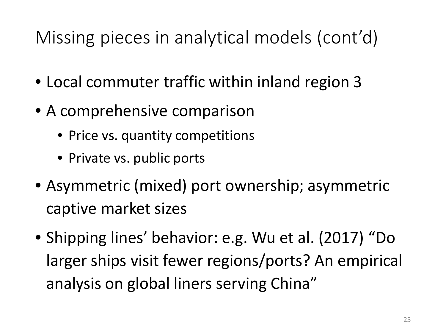## Missing pieces in analytical models (cont'd)

- Local commuter traffic within inland region 3
- A comprehensive comparison
	- Price vs. quantity competitions
	- Private vs. public ports
- Asymmetric (mixed) port ownership; asymmetric captive market sizes
- Shipping lines' behavior: e.g. Wu et al. (2017) "Do larger ships visit fewer regions/ports? An empirical analysis on global liners serving China"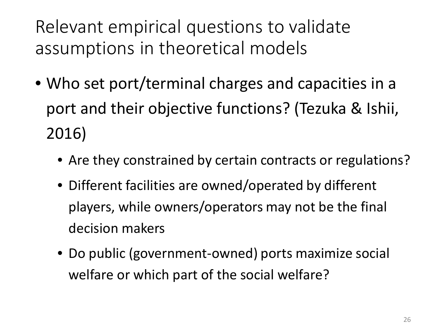Relevant empirical questions to validate assumptions in theoretical models

- Who set port/terminal charges and capacities in a port and their objective functions? (Tezuka & Ishii, 2016)
	- Are they constrained by certain contracts or regulations?
	- Different facilities are owned/operated by different players, while owners/operators may not be the final decision makers
	- Do public (government-owned) ports maximize social welfare or which part of the social welfare?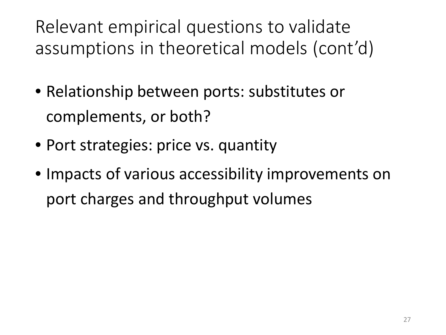Relevant empirical questions to validate assumptions in theoretical models (cont'd)

- Relationship between ports: substitutes or complements, or both?
- Port strategies: price vs. quantity
- Impacts of various accessibility improvements on port charges and throughput volumes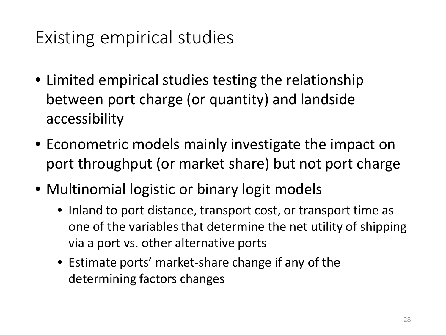### Existing empirical studies

- Limited empirical studies testing the relationship between port charge (or quantity) and landside accessibility
- Econometric models mainly investigate the impact on port throughput (or market share) but not port charge
- Multinomial logistic or binary logit models
	- Inland to port distance, transport cost, or transport time as one of the variables that determine the net utility of shipping via a port vs. other alternative ports
	- Estimate ports' market-share change if any of the determining factors changes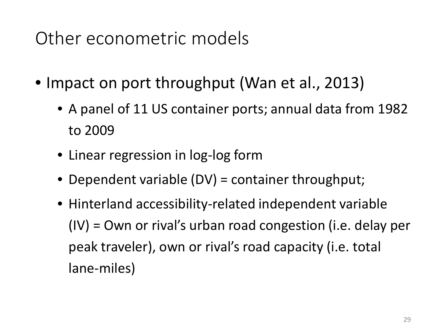#### Other econometric models

- Impact on port throughput (Wan et al., 2013)
	- A panel of 11 US container ports; annual data from 1982 to 2009
	- Linear regression in log-log form
	- Dependent variable (DV) = container throughput;
	- Hinterland accessibility-related independent variable (IV) = Own or rival's urban road congestion (i.e. delay per peak traveler), own or rival's road capacity (i.e. total lane-miles)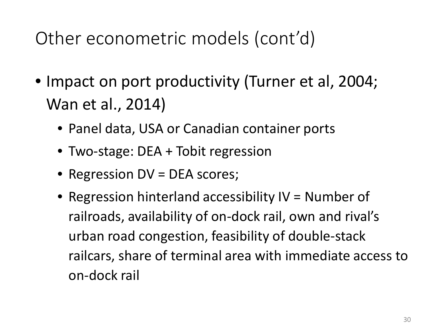Other econometric models (cont'd)

- Impact on port productivity (Turner et al, 2004; Wan et al., 2014)
	- Panel data, USA or Canadian container ports
	- Two-stage: DEA + Tobit regression
	- Regression DV = DEA scores;
	- Regression hinterland accessibility IV = Number of railroads, availability of on-dock rail, own and rival's urban road congestion, feasibility of double-stack railcars, share of terminal area with immediate access to on-dock rail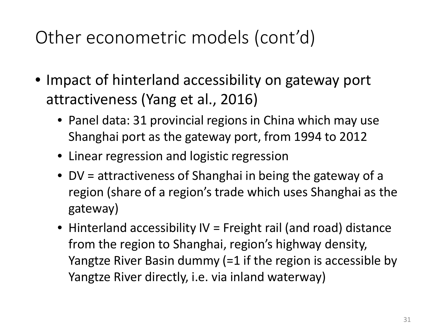### Other econometric models (cont'd)

- Impact of hinterland accessibility on gateway port attractiveness (Yang et al., 2016)
	- Panel data: 31 provincial regions in China which may use Shanghai port as the gateway port, from 1994 to 2012
	- Linear regression and logistic regression
	- DV = attractiveness of Shanghai in being the gateway of a region (share of a region's trade which uses Shanghai as the gateway)
	- Hinterland accessibility IV = Freight rail (and road) distance from the region to Shanghai, region's highway density, Yangtze River Basin dummy (=1 if the region is accessible by Yangtze River directly, i.e. via inland waterway)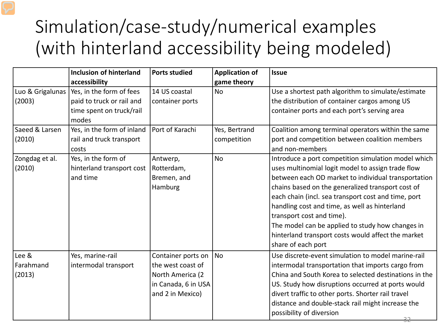## Simulation/case-study/numerical examples (with hinterland accessibility being modeled)

|                  | <b>Inclusion of hinterland</b> | <b>Ports studied</b> | <b>Application of</b> | <b>Issue</b>                                          |
|------------------|--------------------------------|----------------------|-----------------------|-------------------------------------------------------|
|                  | accessibility                  |                      | game theory           |                                                       |
| Luo & Grigalunas | Yes, in the form of fees       | 14 US coastal        | <b>No</b>             | Use a shortest path algorithm to simulate/estimate    |
| (2003)           | paid to truck or rail and      | container ports      |                       | the distribution of container cargos among US         |
|                  | time spent on truck/rail       |                      |                       | container ports and each port's serving area          |
|                  | modes                          |                      |                       |                                                       |
| Saeed & Larsen   | Yes, in the form of inland     | Port of Karachi      | Yes, Bertrand         | Coalition among terminal operators within the same    |
| (2010)           | rail and truck transport       |                      | competition           | port and competition between coalition members        |
|                  | costs                          |                      |                       | and non-members                                       |
| Zongdag et al.   | Yes, in the form of            | Antwerp,             | <b>No</b>             | Introduce a port competition simulation model which   |
| (2010)           | hinterland transport cost      | Rotterdam,           |                       | uses multinomial logit model to assign trade flow     |
|                  | and time                       | Bremen, and          |                       | between each OD market to individual transportation   |
|                  |                                | Hamburg              |                       | chains based on the generalized transport cost of     |
|                  |                                |                      |                       | each chain (incl. sea transport cost and time, port   |
|                  |                                |                      |                       | handling cost and time, as well as hinterland         |
|                  |                                |                      |                       | transport cost and time).                             |
|                  |                                |                      |                       | The model can be applied to study how changes in      |
|                  |                                |                      |                       | hinterland transport costs would affect the market    |
|                  |                                |                      |                       | share of each port                                    |
| Lee &            | Yes, marine-rail               | Container ports on   | <b>No</b>             | Use discrete-event simulation to model marine-rail    |
| Farahmand        | intermodal transport           | the west coast of    |                       | intermodal transportation that imports cargo from     |
| (2013)           |                                | North America (2     |                       | China and South Korea to selected destinations in the |
|                  |                                | in Canada, 6 in USA  |                       | US. Study how disruptions occurred at ports would     |
|                  |                                | and 2 in Mexico)     |                       | divert traffic to other ports. Shorter rail travel    |
|                  |                                |                      |                       | distance and double-stack rail might increase the     |
|                  |                                |                      |                       | possibility of diversion                              |
|                  |                                |                      |                       | 32                                                    |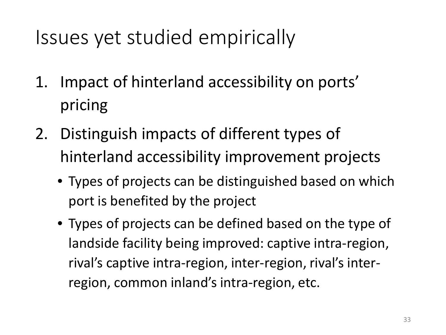# Issues yet studied empirically

- 1. Impact of hinterland accessibility on ports' pricing
- 2. Distinguish impacts of different types of hinterland accessibility improvement projects
	- Types of projects can be distinguished based on which port is benefited by the project
	- Types of projects can be defined based on the type of landside facility being improved: captive intra-region, rival's captive intra-region, inter-region, rival's interregion, common inland's intra-region, etc.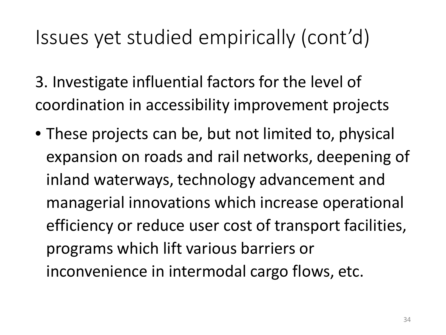# Issues yet studied empirically (cont'd)

3. Investigate influential factors for the level of coordination in accessibility improvement projects

• These projects can be, but not limited to, physical expansion on roads and rail networks, deepening of inland waterways, technology advancement and managerial innovations which increase operational efficiency or reduce user cost of transport facilities, programs which lift various barriers or inconvenience in intermodal cargo flows, etc.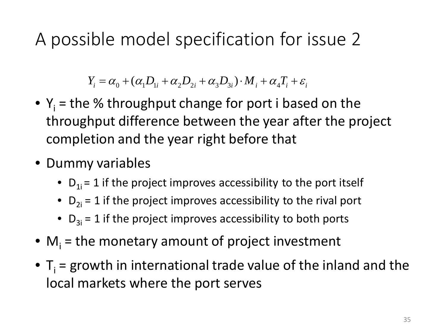A possible model specification for issue 2

 $Y_i = \alpha_{\scriptscriptstyle{\Omega}} + (\alpha_{\scriptscriptstyle{\Omega}} D_{\scriptscriptstyle{\Omega}} + \alpha_{\scriptscriptstyle{\Omega}} D_{\scriptscriptstyle{\Omega}} + \alpha_{\scriptscriptstyle{\Omega}} D_{\scriptscriptstyle{\Omega}}) \cdot M_i + \alpha_{\scriptscriptstyle{\Delta}} T_i + \varepsilon_i$ 

- $Y_i$  = the % throughput change for port i based on the throughput difference between the year after the project completion and the year right before that
- Dummy variables
	- $D_{1i} = 1$  if the project improves accessibility to the port itself
	- $D_{2i} = 1$  if the project improves accessibility to the rival port
	- $D_{3i} = 1$  if the project improves accessibility to both ports
- $\bullet$  M<sub>i</sub> = the monetary amount of project investment
- $T_i$  = growth in international trade value of the inland and the local markets where the port serves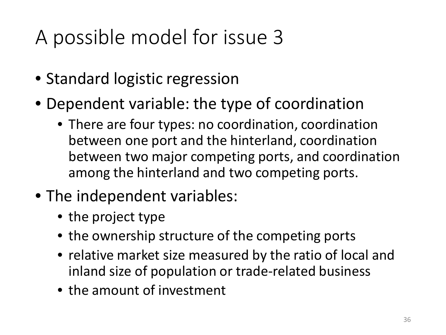# A possible model for issue 3

- Standard logistic regression
- Dependent variable: the type of coordination
	- There are four types: no coordination, coordination between one port and the hinterland, coordination between two major competing ports, and coordination among the hinterland and two competing ports.
- The independent variables:
	- the project type
	- the ownership structure of the competing ports
	- relative market size measured by the ratio of local and inland size of population or trade-related business
	- the amount of investment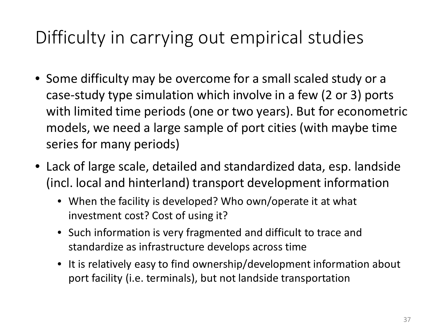### Difficulty in carrying out empirical studies

- Some difficulty may be overcome for a small scaled study or a case-study type simulation which involve in a few (2 or 3) ports with limited time periods (one or two years). But for econometric models, we need a large sample of port cities (with maybe time series for many periods)
- Lack of large scale, detailed and standardized data, esp. landside (incl. local and hinterland) transport development information
	- When the facility is developed? Who own/operate it at what investment cost? Cost of using it?
	- Such information is very fragmented and difficult to trace and standardize as infrastructure develops across time
	- It is relatively easy to find ownership/development information about port facility (i.e. terminals), but not landside transportation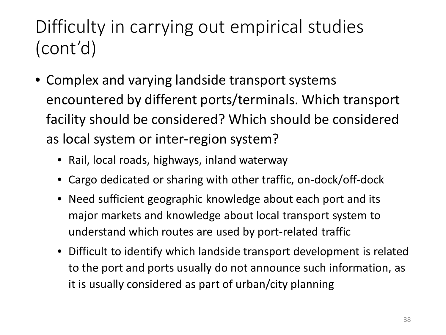## Difficulty in carrying out empirical studies (cont'd)

- Complex and varying landside transport systems encountered by different ports/terminals. Which transport facility should be considered? Which should be considered as local system or inter-region system?
	- Rail, local roads, highways, inland waterway
	- Cargo dedicated or sharing with other traffic, on-dock/off-dock
	- Need sufficient geographic knowledge about each port and its major markets and knowledge about local transport system to understand which routes are used by port-related traffic
	- Difficult to identify which landside transport development is related to the port and ports usually do not announce such information, as it is usually considered as part of urban/city planning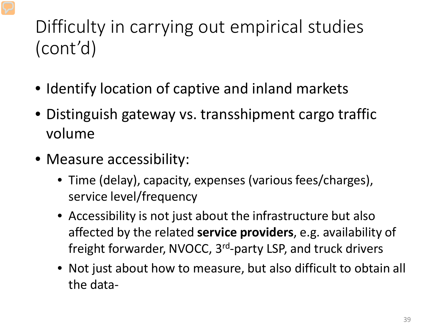## Difficulty in carrying out empirical studies (cont'd)

- Identify location of captive and inland markets
- Distinguish gateway vs. transshipment cargo traffic volume
- Measure accessibility:
	- Time (delay), capacity, expenses (various fees/charges), service level/frequency
	- Accessibility is not just about the infrastructure but also affected by the related **service providers**, e.g. availability of freight forwarder, NVOCC, 3rd-party LSP, and truck drivers
	- Not just about how to measure, but also difficult to obtain all the data-